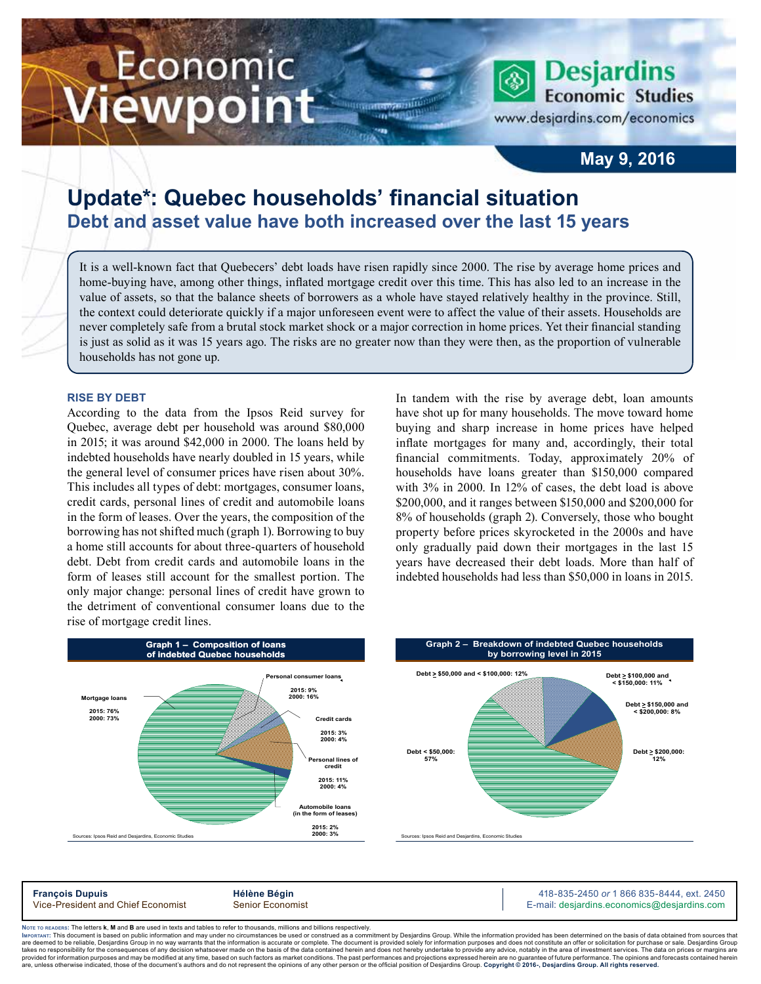# Economic iewpoint

**Economic Studies** www.desjardins.com/economics

**Desjardins** 

### **May 9, 2016**

## **Update\*: Quebec households' financial situation Debt and asset value have both increased over the last 15 years**

It is a well-known fact that Quebecers' debt loads have risen rapidly since 2000. The rise by average home prices and home-buying have, among other things, inflated mortgage credit over this time. This has also led to an increase in the value of assets, so that the balance sheets of borrowers as a whole have stayed relatively healthy in the province. Still, the context could deteriorate quickly if a major unforeseen event were to affect the value of their assets. Households are never completely safe from a brutal stock market shock or a major correction in home prices. Yet their financial standing is just as solid as it was 15 years ago. The risks are no greater now than they were then, as the proportion of vulnerable households has not gone up.

**THE CONSTRUCTION** 

**ATT** 

#### **Rise by debt**

According to the data from the Ipsos Reid survey for Quebec, average debt per household was around \$80,000 in 2015; it was around \$42,000 in 2000. The loans held by indebted households have nearly doubled in 15 years, while the general level of consumer prices have risen about 30%. This includes all types of debt: mortgages, consumer loans, credit cards, personal lines of credit and automobile loans in the form of leases. Over the years, the composition of the borrowing has not shifted much (graph 1). Borrowing to buy a home still accounts for about three-quarters of household debt. Debt from credit cards and automobile loans in the form of leases still account for the smallest portion. The only major change: personal lines of credit have grown to the detriment of conventional consumer loans due to the rise of mortgage credit lines.

In tandem with the rise by average debt, loan amounts have shot up for many households. The move toward home buying and sharp increase in home prices have helped inflate mortgages for many and, accordingly, their total financial commitments. Today, approximately 20% of households have loans greater than \$150,000 compared with 3% in 2000. In 12% of cases, the debt load is above \$200,000, and it ranges between \$150,000 and \$200,000 for 8% of households (graph 2). Conversely, those who bought property before prices skyrocketed in the 2000s and have only gradually paid down their mortgages in the last 15 years have decreased their debt loads. More than half of indebted households had less than \$50,000 in loans in 2015.



**François Dupuis**<br>
Vice-President and Chief Economist **Alternative Bégin** 418-835-2450 or 1 866 835-8444, ext. 2450<br>
Vice-President and Chief Economist Senior Economist **Alternative Community Community Community** E-mail: d E-mail: desjardins.economics@desjardins.com

Noтє то вєлоєв<mark>: The letters **k**, M and B are used in texts and tables to refer to thousands, millions and billions respectively.<br>Імровтлит: This document is based on public information and may under no circumstances be u</mark> tment by Desjardins Group. While the information provided has been determined on the basis of data obtained from sources that are deemed to be reliable. Desiardins Group in no way warrants that the information is accurate or complete. The document is provided solely for information purposes and does not constitute an offer or solicitation for pur takes no responsibility for the consequences of any decision whatsoever made on the basis of the data contained herein and does not hereby undertake to provide any advice, notably in the area of investment services. The da are show that information purposes and may be modified at any time, based on such ratios as market conditions. The past performances and projections expressed herein are no guarantee of future performance. The opinions and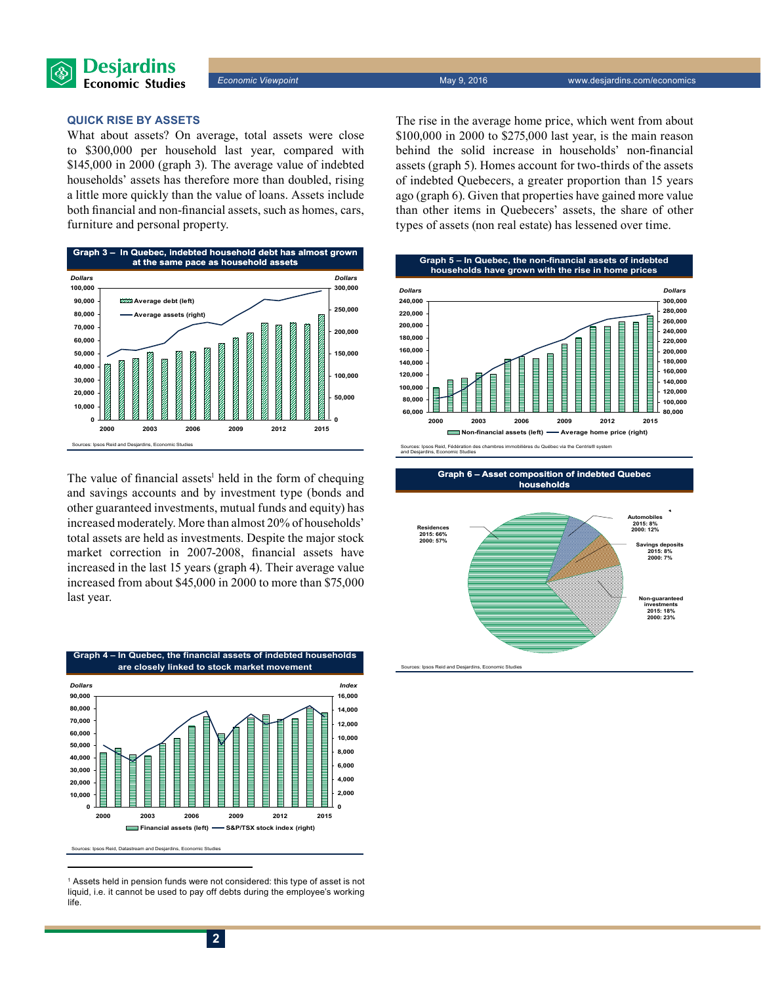

#### **Quick rise by assets**

What about assets? On average, total assets were close to \$300,000 per household last year, compared with \$145,000 in 2000 (graph 3). The average value of indebted households' assets has therefore more than doubled, rising a little more quickly than the value of loans. Assets include both financial and non-financial assets, such as homes, cars, furniture and personal property.



The value of financial assets<sup>1</sup> held in the form of chequing and savings accounts and by investment type (bonds and other guaranteed investments, mutual funds and equity) has increased moderately. More than almost 20% of households' total assets are held as investments. Despite the major stock market correction in 2007-2008, financial assets have increased in the last 15 years (graph 4). Their average value increased from about \$45,000 in 2000 to more than \$75,000 last year.



<sup>1</sup> Assets held in pension funds were not considered: this type of asset is not liquid, i.e. it cannot be used to pay off debts during the employee's working life.

The rise in the average home price, which went from about \$100,000 in 2000 to \$275,000 last year, is the main reason behind the solid increase in households' non-financial assets (graph 5). Homes account for two-thirds of the assets of indebted Quebecers, a greater proportion than 15 years ago (graph 6). Given that properties have gained more value than other items in Quebecers' assets, the share of other types of assets (non real estate) has lessened over time.







.<br>Ces: Ipsos Reid and Desjardins, Economic Studies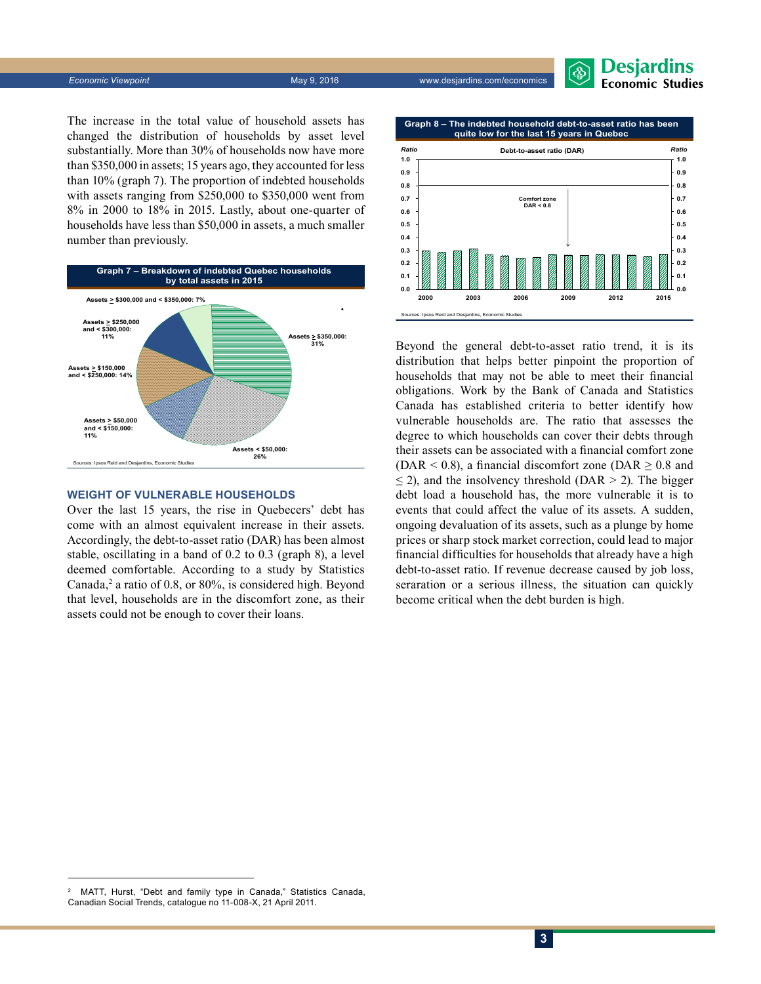**3**

The increase in the total value of household assets has changed the distribution of households by asset level substantially. More than 30% of households now have more than \$350,000 in assets; 15 years ago, they accounted for less than 10% (graph 7). The proportion of indebted households with assets ranging from \$250,000 to \$350,000 went from 8% in 2000 to 18% in 2015. Lastly, about one-quarter of households have less than \$50,000 in assets, a much smaller

**Graph 7 – Breakdown of indebted Quebec households by total assets in 2015 Assets** > **\$350,000: 31% Assets < \$50,000: 26% Assets > \$50,000 and < \$150,000: 11%** Sources: Ipsos Reid and Desiard **Assets > \$150,000 and < \$250,000: 14% Assets > \$250,000 and < \$300,000: 11% Assets > \$300,000 and < \$350,000: 7%**

#### **Weight of vulnerable households**

Over the last 15 years, the rise in Quebecers' debt has come with an almost equivalent increase in their assets. Accordingly, the debt-to-asset ratio (DAR) has been almost stable, oscillating in a band of 0.2 to 0.3 (graph 8), a level deemed comfortable. According to a study by Statistics Canada,<sup>2</sup> a ratio of 0.8, or 80%, is considered high. Beyond that level, households are in the discomfort zone, as their assets could not be enough to cover their loans.

households that may not be able to meet their financial obligations. Work by the Bank of Canada and Statistics Canada has established criteria to better identify how vulnerable households are. The ratio that assesses the degree to which households can cover their debts through their assets can be associated with a financial comfort zone (DAR < 0.8), a financial discomfort zone (DAR  $\geq$  0.8 and  $\leq$  2), and the insolvency threshold (DAR > 2). The bigger debt load a household has, the more vulnerable it is to events that could affect the value of its assets. A sudden, ongoing devaluation of its assets, such as a plunge by home prices or sharp stock market correction, could lead to major financial difficulties for households that already have a high debt-to-asset ratio. If revenue decrease caused by job loss, seraration or a serious illness, the situation can quickly become critical when the debt burden is high.

Beyond the general debt-to-asset ratio trend, it is its distribution that helps better pinpoint the proportion of

**2000 2003 2006 2009 2012 2015**

Sources: Ipsos Reid and Desjardins, Economic Studies

**0.0 0.1 0.2 0.3 0.4 0.5**

**0.6 0.7 0.8 0.9 1.0** *Ratio* **0.6 0.7 0.8 0.9 1.0 Debt-to-asset ratio (DAR)** *Ratio* **Graph 8 – The indebted household debt-to-asset ratio has been quite low for the last 15 years in Quebec Comfort zone DAR < 0.8**



number than previously.



**0.0 0.1 0.2 0.3 0.4 0.5**